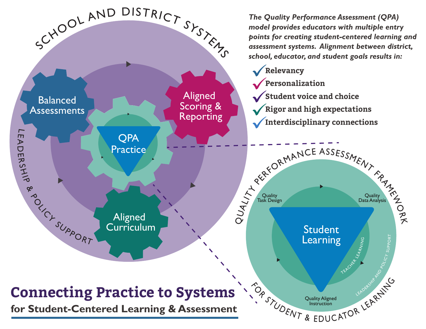